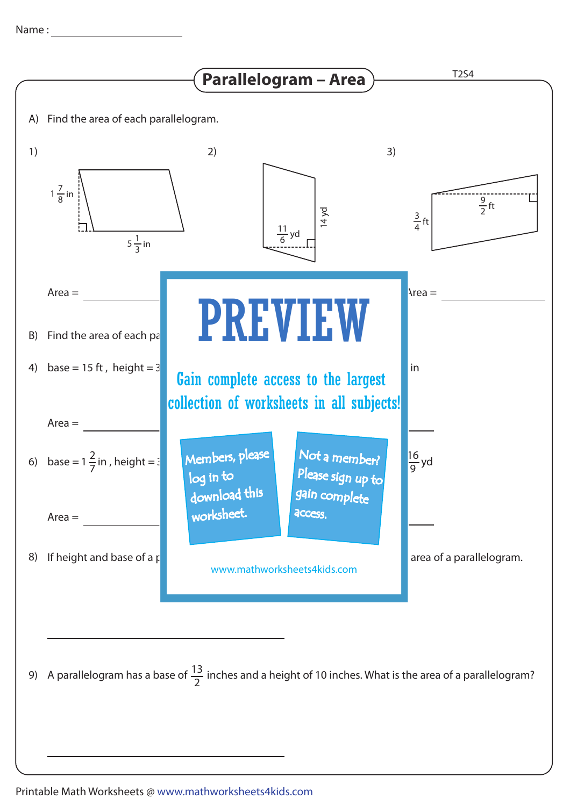